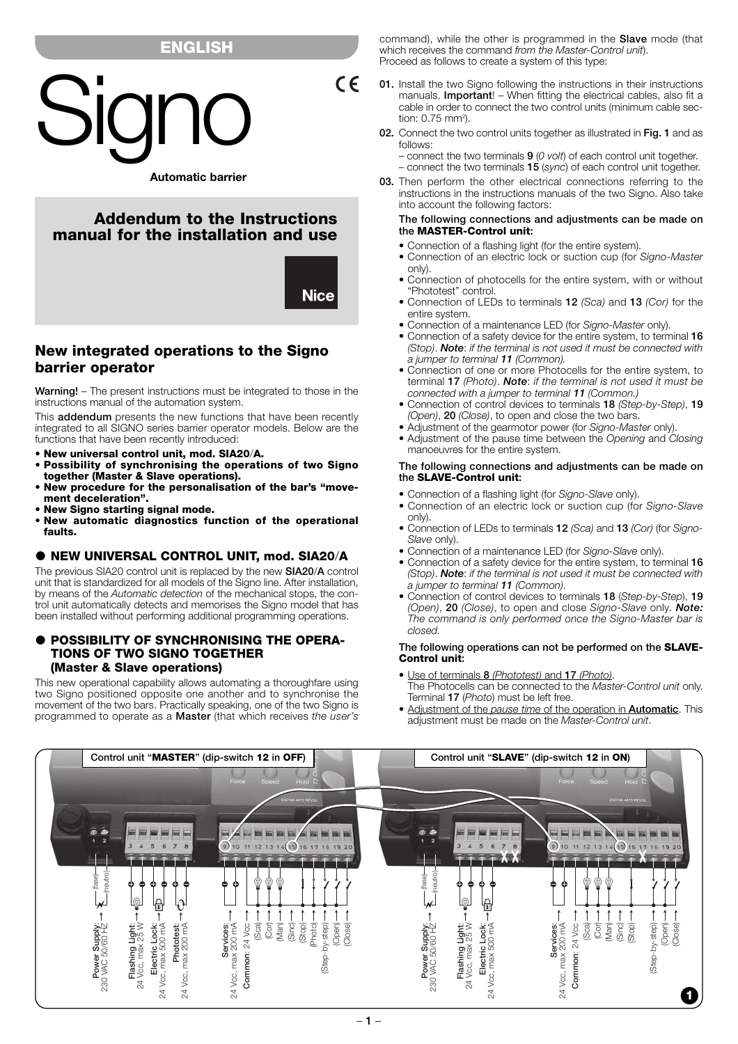# **ENGLISH**



# **Addendum to the Instructions manual for the installation and use**



 $C \in$ 

# **New integrated operations to the Signo barrier operator**

**Warning!** – The present instructions must be integrated to those in the instructions manual of the automation system.

This **addendum** presents the new functions that have been recently integrated to all SIGNO series barrier operator models. Below are the functions that have been recently introduced:

- **New universal control unit, mod. SIA20**/**A.**
- **Possibility of synchronising the operations of two Signo together (Master & Slave operations).**
- **New procedure for the personalisation of the bar's "movement deceleration".**
- **New Signo starting signal mode.**
- **New automatic diagnostics function of the operational faults.**

### **NEW UNIVERSAL CONTROL UNIT, mod. SIA20**/**A**

The previous SIA20 control unit is replaced by the new **SIA20**/**A** control unit that is standardized for all models of the Signo line. After installation, by means of the *Automatic detection* of the mechanical stops, the control unit automatically detects and memorises the Signo model that has been installed without performing additional programming operations.

# **POSSIBILITY OF SYNCHRONISING THE OPERA-TIONS OF TWO SIGNO TOGETHER (Master & Slave operations)**

This new operational capability allows automating a thoroughfare using two Signo positioned opposite one another and to synchronise the movement of the two bars. Practically speaking, one of the two Signo is programmed to operate as a **Master** (that which receives *the user's* command), while the other is programmed in the **Slave** mode (that which receives the command *from the Master-Control unit*). Proceed as follows to create a system of this type:

- **01.** Install the two Signo following the instructions in their instructions manuals. **Important**! – When fitting the electrical cables, also fit a cable in order to connect the two control units (minimum cable section:  $0.75$  mm<sup>2</sup>).
- **02.** Connect the two control units together as illustrated in **Fig. 1** and as follows:

– connect the two terminals **9** (*0 volt*) of each control unit together.

– connect the two terminals **15** (*sync*) of each control unit together.

**03.** Then perform the other electrical connections referring to the instructions in the instructions manuals of the two Signo. Also take into account the following factors:

#### **The following connections and adjustments can be made on the MASTER-Control unit:**

- Connection of a flashing light (for the entire system).
- Connection of an electric lock or suction cup (for *Signo-Master* only).
- Connection of photocells for the entire system, with or without "Phototest" control.
- Connection of LEDs to terminals **12** *(Sca)* and **13** *(Cor)* for the entire system.
- Connection of a maintenance LED (for *Signo-Master* only).
- Connection of a safety device for the entire system, to terminal **16** *(Stop)*. *Note*: *if the terminal is not used it must be connected with a jumper to terminal 11 (Common).*
- Connection of one or more Photocells for the entire system, to terminal **17** *(Photo)*. *Note*: *if the terminal is not used it must be connected with a jumper to terminal 11 (Common.)*
- Connection of control devices to terminals **18** *(Step-by-Step)*, **19** *(Open)*, **20** *(Close)*, to open and close the two bars.
- Adjustment of the gearmotor power (for *Signo-Master* only).
- Adjustment of the pause time between the *Opening* and *Closing* manoeuvres for the entire system.

### **The following connections and adjustments can be made on the SLAVE-Control unit:**

- Connection of a flashing light (for *Signo-Slave* only).
- Connection of an electric lock or suction cup (for *Signo-Slave* only).
- Connection of LEDs to terminals **12** *(Sca)* and **13** *(Cor)* (for *Signo-Slave* only).
- Connection of a maintenance LED (for *Signo-Slave* only).
- Connection of a safety device for the entire system, to terminal 16 *(Stop)*. *Note*: *if the terminal is not used it must be connected with a jumper to terminal 11 (Common)*.
- Connection of control devices to terminals **18** (*Step-by-Step*), **19** *(Open)*, **20** *(Close)*, to open and close *Signo-Slave* only*. Note: The command is only performed once the Signo-Master bar is closed.*

### **The following operations can not be performed on the SLAVE-Control unit:**

- Use of terminals **8** *(Phototest)* and **17** *(Photo)*. The Photocells can be connected to the *Master-Control unit* only. Terminal **17** (*Photo*) must be left free.
- Adjustment of the *pause time* of the operation in **Automatic**. This adjustment must be made on the *Master-Control unit*.

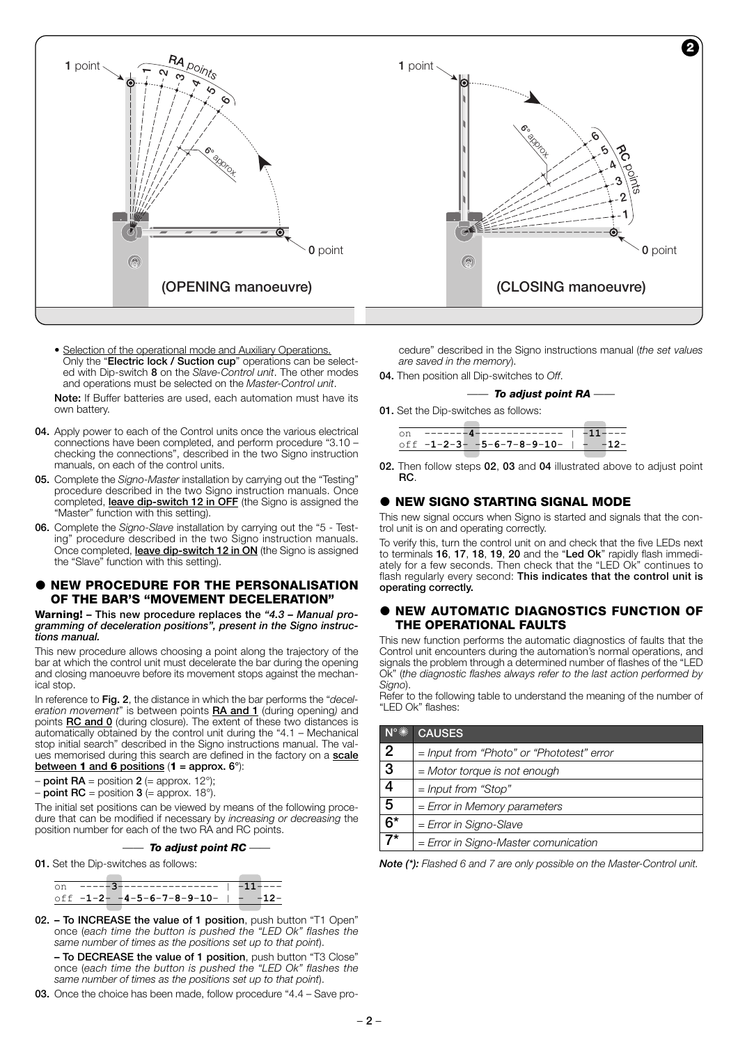

- Selection of the operational mode and Auxiliary Operations. Only the "**Electric lock / Suction cup**" operations can be selected with Dip-switch **8** on the *Slave-Control unit*. The other modes and operations must be selected on the *Master-Control unit*. **Note:** If Buffer batteries are used, each automation must have its own battery.
- **04.** Apply power to each of the Control units once the various electrical connections have been completed, and perform procedure "3.10 – checking the connections", described in the two Signo instruction manuals, on each of the control units.
- **05.** Complete the *Signo-Master* installation by carrying out the "Testing" procedure described in the two Signo instruction manuals. Once completed, **leave dip-switch 12 in OFF** (the Signo is assigned the "Master" function with this setting).
- **06.** Complete the *Signo-Slave* installation by carrying out the "5 Testing" procedure described in the two Signo instruction manuals. Once completed, **leave dip-switch 12 in ON** (the Signo is assigned the "Slave" function with this setting).

### **NEW PROCEDURE FOR THE PERSONALISATION OF THE BAR'S "MOVEMENT DECELERATION"**

**Warning! – This new procedure replaces the** *"4.3 – Manual programming of deceleration positions", present in the Signo instructions manual.*

This new procedure allows choosing a point along the trajectory of the bar at which the control unit must decelerate the bar during the opening and closing manoeuvre before its movement stops against the mechanical stop.

In reference to **Fig. 2**, the distance in which the bar performs the "*deceleration movement*" is between points **RA and 1** (during opening*)* and points **RC and 0** (during closure). The extent of these two distances is automatically obtained by the control unit during the "4.1 – Mechanical stop initial search" described in the Signo instructions manual. The values memorised during this search are defined in the factory on a **scale between 1 and 6 positions** (**1 = approx. 6°**):

# $-$  **point RA** = position **2** (= approx. 12°);

 $-$  **point RC** = position **3** (= approx. 18°).

The initial set positions can be viewed by means of the following procedure that can be modified if necessary by *increasing or decreasing* the position number for each of the two RA and RC points.

|  |  | To adjust point RC |  |  |  |
|--|--|--------------------|--|--|--|
|--|--|--------------------|--|--|--|

**01.** Set the Dip-switches as follows:

|  | on -----3----------------   -11---- |  |  |
|--|-------------------------------------|--|--|
|  | off $-1-2 -4-5-6-7-8-9-10   -12-$   |  |  |
|  |                                     |  |  |

**02. – To INCREASE the value of 1 position**, push button "T1 Open" once (*each time the button is pushed the "LED Ok" flashes the same number of times as the positions set up to that point*).

**– To DECREASE the value of 1 position**, push button "T3 Close" once (*each time the button is pushed the "LED Ok" flashes the same number of times as the positions set up to that point*).

**03.** Once the choice has been made, follow procedure "4.4 – Save pro-

cedure" described in the Signo instructions manual (*the set values are saved in the memory*).

**04.** Then position all Dip-switches to *Off*.

### *—— To adjust point RA ——*

**01.** Set the Dip-switches as follows:

| on -------4--------------   -11---- |  |
|-------------------------------------|--|
|                                     |  |
| off $-1-2-3 -5-6-7-8-9-10  -12-$    |  |
|                                     |  |

**02.** Then follow steps **02**, **03** and **04** illustrated above to adjust point **RC**.

### $\bullet$  **NEW SIGNO STARTING SIGNAL MODE**

This new signal occurs when Signo is started and signals that the control unit is on and operating correctly.

To verify this, turn the control unit on and check that the five LEDs next to terminals **16**, **17**, **18**, **19**, **20** and the "**Led Ok**" rapidly flash immediately for a few seconds. Then check that the "LED Ok" continues to flash regularly every second: **This indicates that the control unit is operating correctly.**

### **NEW AUTOMATIC DIAGNOSTICS FUNCTION OF THE OPERATIONAL FAULTS**

This new function performs the automatic diagnostics of faults that the Control unit encounters during the automation's normal operations, and signals the problem through a determined number of flashes of the "LED Ok" (*the diagnostic flashes always refer to the last action performed by Signo*).

Refer to the following table to understand the meaning of the number of "LED Ok" flashes:

| $N^{\circ}$ $\mathbb{R}$ | <b>CAUSES</b>                             |
|--------------------------|-------------------------------------------|
| $\overline{2}$           | = Input from "Photo" or "Phototest" error |
| $\overline{3}$           | = Motor torque is not enough              |
| 4                        | $=$ Input from "Stop"                     |
| $\overline{5}$           | $=$ Error in Memory parameters            |
| 6*                       | = Error in Signo-Slave                    |
|                          | = Error in Signo-Master comunication      |

*Note (\*): Flashed 6 and 7 are only possible on the Master-Control unit.*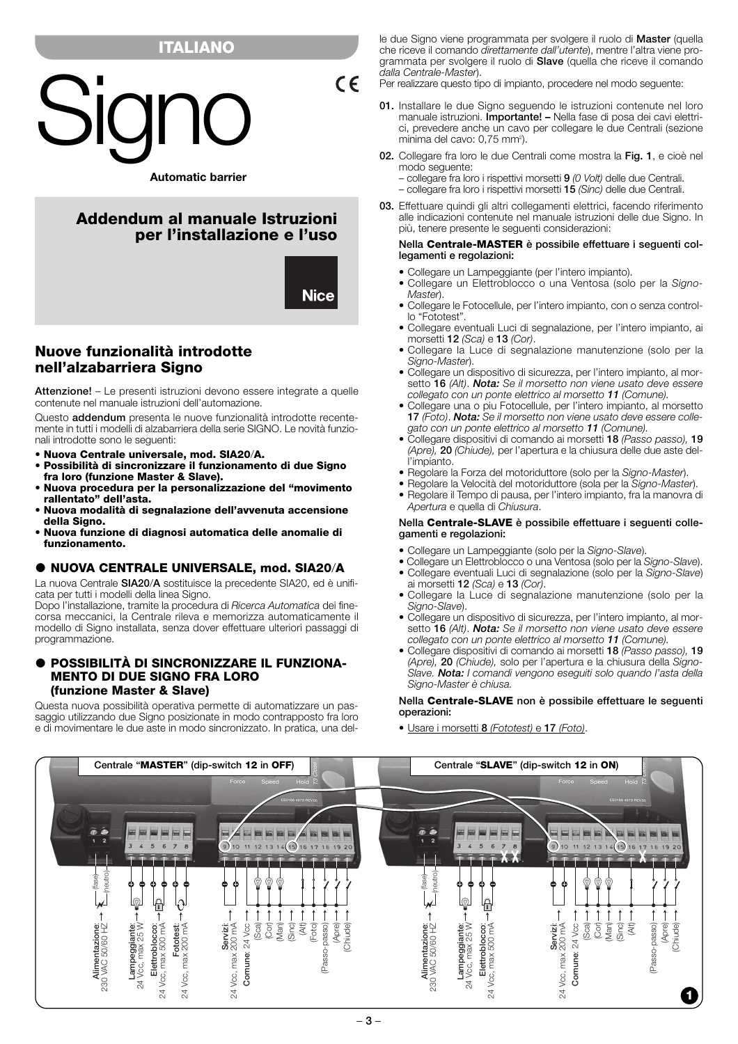# **ITALIANO**



# **Addendum al manuale Istruzioni per l'installazione e l'uso**

**Nice** 

 $C \in$ 

# **Nuove funzionalità introdotte nell'alzabarriera Signo**

**Attenzione!** – Le presenti istruzioni devono essere integrate a quelle contenute nel manuale istruzioni dell'automazione.

Questo **addendum** presenta le nuove funzionalità introdotte recentemente in tutti i modelli di alzabarriera della serie SIGNO. Le novità funzionali introdotte sono le seguenti:

- **Nuova Centrale universale, mod. SIA20**/**A.**
- **Possibilità di sincronizzare il funzionamento di due Signo fra loro (funzione Master & Slave).**
- **Nuova procedura per la personalizzazione del "movimento rallentato" dell'asta.**
- **Nuova modalità di segnalazione dell'avvenuta accensione della Signo.**
- **Nuova funzione di diagnosi automatica delle anomalie di funzionamento.**

# **NUOVA CENTRALE UNIVERSALE, mod. SIA20**/**A**

La nuova Centrale **SIA20**/**A** sostituisce la precedente SIA20, ed è unificata per tutti i modelli della linea Signo.

Dopo l'installazione, tramite la procedura di *Ricerca Automatica* dei finecorsa meccanici, la Centrale rileva e memorizza automaticamente il modello di Signo installata, senza dover effettuare ulteriori passaggi di programmazione.

## **POSSIBILITÀ DI SINCRONIZZARE IL FUNZIONA-MENTO DI DUE SIGNO FRA LORO (funzione Master & Slave)**

Questa nuova possibilità operativa permette di automatizzare un passaggio utilizzando due Signo posizionate in modo contrapposto fra loro e di movimentare le due aste in modo sincronizzato. In pratica, una delle due Signo viene programmata per svolgere il ruolo di **Master** (quella che riceve il comando *direttamente dall'utente*), mentre l'altra viene programmata per svolgere il ruolo di **Slave** (quella che riceve il comando *dalla Centrale-Master*).

- Per realizzare questo tipo di impianto, procedere nel modo seguente:
- **01.** Installare le due Signo seguendo le istruzioni contenute nel loro manuale istruzioni. **Importante! –** Nella fase di posa dei cavi elettrici, prevedere anche un cavo per collegare le due Centrali (sezione minima del cavo: 0,75 mm<sup>2</sup>).
- **02.** Collegare fra loro le due Centrali come mostra la **Fig. 1**, e cioè nel modo seguente:
	- collegare fra loro i rispettivi morsetti **9** *(0 Volt)* delle due Centrali.
	- collegare fra loro i rispettivi morsetti **15** *(Sinc)* delle due Centrali.
- **03.** Effettuare quindi gli altri collegamenti elettrici, facendo riferimento alle indicazioni contenute nel manuale istruzioni delle due Signo. In più, tenere presente le seguenti considerazioni:

### **Nella Centrale-MASTER è possibile effettuare i seguenti collegamenti e regolazioni:**

- Collegare un Lampeggiante (per l'intero impianto).
- Collegare un Elettroblocco o una Ventosa (solo per la *Signo-Master*).
- Collegare le Fotocellule, per l'intero impianto, con o senza controllo "Fototest".
- Collegare eventuali Luci di segnalazione, per l'intero impianto, ai morsetti **12** *(Sca)* e **13** *(Cor)*.
- Collegare la Luce di segnalazione manutenzione (solo per la *Signo-Master*).
- Collegare un dispositivo di sicurezza, per l'intero impianto, al morsetto **16** *(Alt)*. *Nota: Se il morsetto non viene usato deve essere collegato con un ponte elettrico al morsetto 11 (Comune).*
- Collegare una o piu Fotocellule, per l'intero impianto, al morsetto **17** *(Foto)*. *Nota: Se il morsetto non viene usato deve essere collegato con un ponte elettrico al morsetto 11 (Comune).*
- Collegare dispositivi di comando ai morsetti **18** *(Passo passo),* **19** *(Apre),* **20** *(Chiude),* per l'apertura e la chiusura delle due aste dell'impianto.
- Regolare la Forza del motoriduttore (solo per la *Signo-Master*).
- Regolare la Velocità del motoriduttore (sola per la *Signo-Master*).
- Regolare il Tempo di pausa, per l'intero impianto, fra la manovra di *Apertura* e quella di *Chiusura*.

#### **Nella Centrale-SLAVE è possibile effettuare i seguenti collegamenti e regolazioni:**

- Collegare un Lampeggiante (solo per la *Signo-Slave*).
- Collegare un Elettroblocco o una Ventosa (solo per la *Signo-Slave*). • Collegare eventuali Luci di segnalazione (solo per la *Signo-Slave*)
- ai morsetti **12** *(Sca)* e **13** *(Cor)*.
- Collegare la Luce di segnalazione manutenzione (solo per la *Signo-Slave*).
- Collegare un dispositivo di sicurezza, per l'intero impianto, al morsetto **16** *(Alt)*. *Nota: Se il morsetto non viene usato deve essere collegato con un ponte elettrico al morsetto 11 (Comune).*
- Collegare dispositivi di comando ai morsetti **18** *(Passo passo),* **19** *(Apre),* **20** *(Chiude),* solo per l'apertura e la chiusura della *Signo-Slave. Nota: I comandi vengono eseguiti solo quando l'asta della Signo-Master è chiusa.*

### **Nella Centrale-SLAVE non è possibile effettuare le seguenti operazioni:**

• Usare i morsetti **8** *(Fototest)* e **17** *(Foto)*.